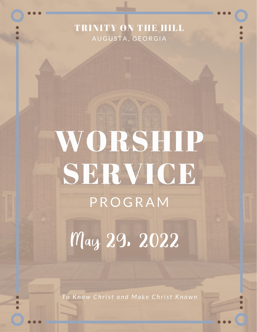## TRINITY ON THE HILL AUGUSTA, GEORGIA

# WORSHIP SERVICE PROGRAM

May 29. 2022

To Know Christ and Make Christ Known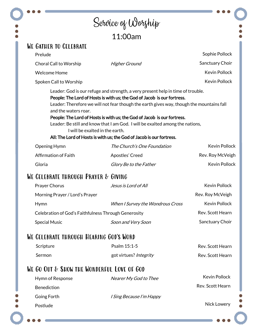#### Service of Worship 11:00am We Gather to Celebrate Sophie Pollock Prelude Choral Call to Worship Higher Ground Sanctuary Choir Kevin Pollock Welcome Home Kevin Pollock Spoken Call to Worship Leader: God is our refuge and strength, a very present help in time of trouble.

People: The Lord of Hosts is with us; the God of Jacob is our fortress. Leader: Therefore we will not fear though the earth gives way, though the mountains fall and the waters roar.

#### People: The Lord of Hosts is with us; the God of Jacob is our fortress.

Leader: Be still and know that I am God. I will be exalted among the nations, I will be exalted in the earth.

#### All: The Lord of Hosts is with us; the God of Jacob is our fortress.

| Opening Hymn         | The Church's One Foundation | <b>Kevin Pollock</b> |
|----------------------|-----------------------------|----------------------|
| Affirmation of Faith | Apostles' Creed             | Rev. Roy McVeigh     |
| Gloria               | Glory Be to the Father      | <b>Kevin Pollock</b> |

## WE CELEBRATE THROUGH PRAYER & GIVING

| <b>Prayer Chorus</b>                                 | Jesus is Lord of All             | Kevin Pollock        |
|------------------------------------------------------|----------------------------------|----------------------|
| Morning Prayer / Lord's Prayer                       |                                  | Rev. Roy McVeigh     |
| <b>Hymn</b>                                          | When I Survey the Wondrous Cross | <b>Kevin Pollock</b> |
| Celebration of God's Faithfulness Through Generosity |                                  | Rev. Scott Hearn     |
| <b>Special Music</b>                                 | Soon and Very Soon               | Sanctuary Choir      |

#### WE CELEBRATE THROUGH HEARING GOD'S WORD

| Scripture     | Psalm 15:1-5           | Rev. Scott Hearn |
|---------------|------------------------|------------------|
| <b>Sermon</b> | got virtues? Integrity | Rev. Scott Hearn |

## WE GO OUT & SHOW THE WONDERFUL LOVE OF GOD

| Hymn of Response   | Nearer My God to Thee           | Kevin Pollock    |
|--------------------|---------------------------------|------------------|
| <b>Benediction</b> |                                 | Rev. Scott Hearn |
| Going Forth        | <i>I Sing Because I'm Happy</i> |                  |
| Postlude           |                                 | Nick Lowery      |
|                    |                                 |                  |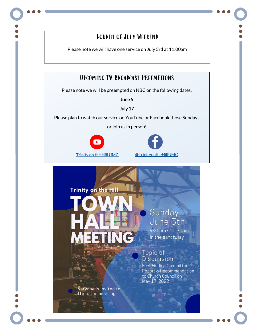## Fourth of July Weekend

Please note we will have one service on July 3rd at 11:00am

## Upcoming TV Broadcast Preemptions

Please note we will be preempted on NBC on the following dates:

June 5

July 17

Please plan to watch our service on YouTube or Facebook those Sundays

or join us in person!





Trinity on the Hill

Sunday, June 5th

9:30am - 10:30am in the sanctuary

#### Topic of **Discussion**

ء<br>مقولان

**Fact Finding Committee Report & Recommendation** to Church Council on May 17, 2022

Everyone is invited to attend the meeting